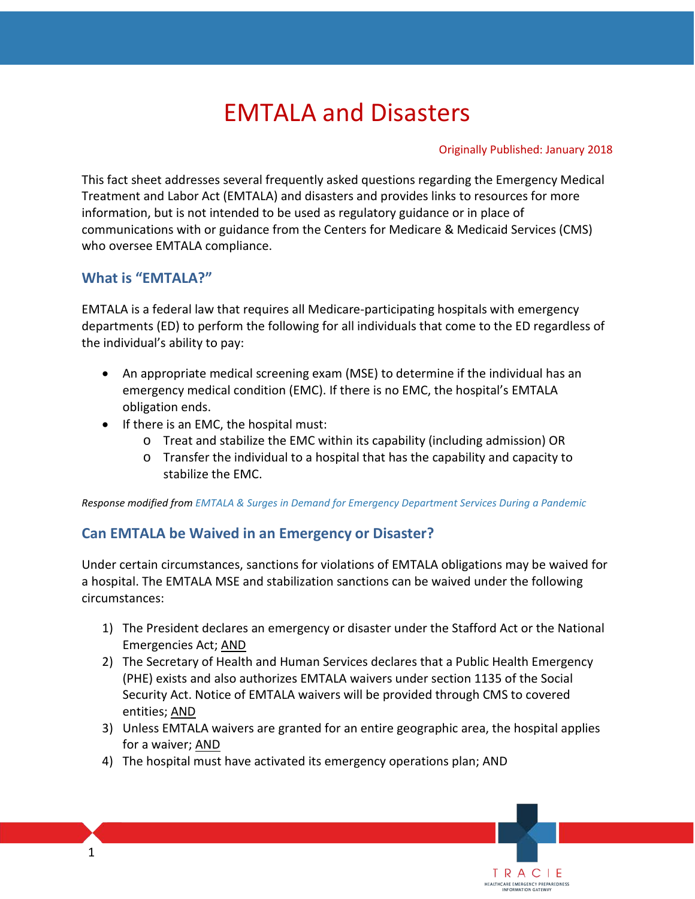# EMTALA and Disasters

#### Originally Published: January 2018

TRACIE HEALTHCARE EMERGENCY PREPAREDNESS

 Treatment and Labor Act (EMTALA) and disasters and provides links to resources for more information, but is not intended to be used as regulatory guidance or in place of This fact sheet addresses several frequently asked questions regarding the Emergency Medical communications with or guidance from the Centers for Medicare & Medicaid Services (CMS) who oversee EMTALA compliance.

#### **What is "EMTALA?"**

 departments (ED) to perform the following for all individuals that come to the ED regardless of the individual's ability to pay: EMTALA is a federal law that requires all Medicare-participating hospitals with emergency

- An appropriate medical screening exam (MSE) to determine if the individual has an emergency medical condition (EMC). If there is no EMC, the hospital's EMTALA obligation ends.
- • If there is an EMC, the hospital must:
	- o Treat and stabilize the EMC within its capability (including admission) OR
	- $\circ$  Transfer the individual to a hospital that has the capability and capacity to stabilize the EMC.

*Response modified from [EMTALA & Surges in Demand for Emergency Department Services During a Pandemic](https://www.cms.gov/Medicare/Provider-Enrollment-and-Certification/SurveyCertificationGenInfo/downloads/SCLetter09_52.pdf)* 

#### **Can EMTALA be Waived in an Emergency or Disaster?**

Under certain circumstances, sanctions for violations of EMTALA obligations may be waived for a hospital. The EMTALA MSE and stabilization sanctions can be waived under the following circumstances:

- 1) The President declares an emergency or disaster under the Stafford Act or the National Emergencies Act; AND
- Emergencies Act; AND<br>2) The Secretary of Health and Human Services declares that a Public Health Emergency (PHE) exists and also authorizes EMTALA waivers under section 1135 of the Social entities; <u>AND</u> Security Act. Notice of EMTALA waivers will be provided through CMS to covered
- 3) Unless EMTALA waivers are granted for an entire geographic area, the hospital applies for a waiver; AND
- 4) The hospital must have activated its emergency operations plan; AND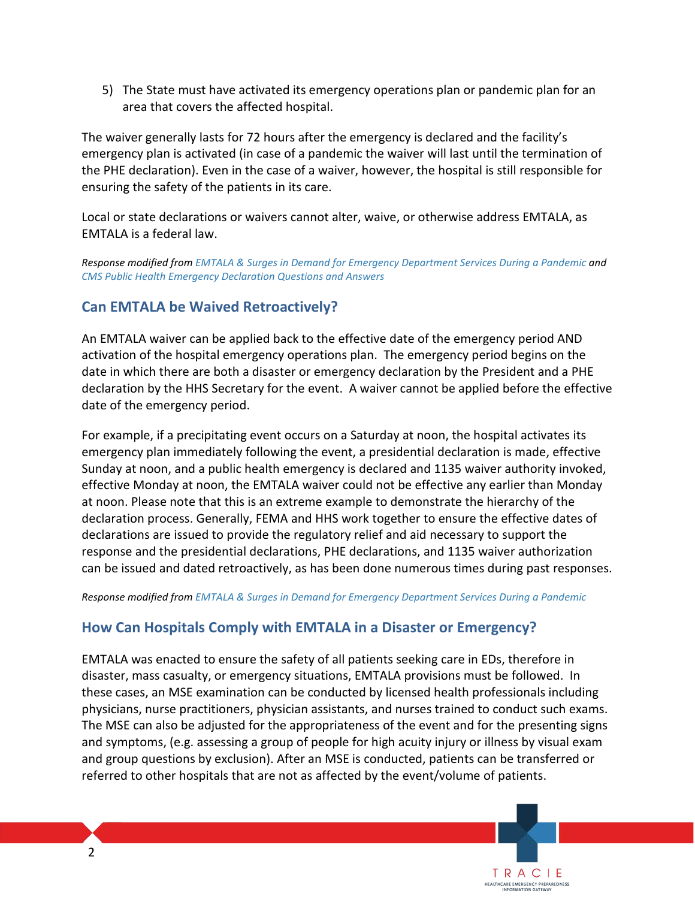5) The State must have activated its emergency operations plan or pandemic plan for an area that covers the affected hospital.

 emergency plan is activated (in case of a pandemic the waiver will last until the termination of The waiver generally lasts for 72 hours after the emergency is declared and the facility's the PHE declaration). Even in the case of a waiver, however, the hospital is still responsible for ensuring the safety of the patients in its care.

Local or state declarations or waivers cannot alter, waive, or otherwise address EMTALA, as EMTALA is a federal law.

*Response modified from [EMTALA & Surges in Demand for Emergency Department Services During a Pandemic](https://www.cms.gov/Medicare/Provider-Enrollment-and-Certification/SurveyCertificationGenInfo/downloads/SCLetter09_52.pdf) and [CMS Public Health Emergency Declaration Questions and Answers](https://www.cms.gov/Medicare/Provider-Enrollment-and-Certification/SurveyCertEmergPrep/Downloads/PHE-Questions-and-Answers.pdf)* 

#### **Can EMTALA be Waived Retroactively?**

 An EMTALA waiver can be applied back to the effective date of the emergency period AND activation of the hospital emergency operations plan. The emergency period begins on the date in which there are both a disaster or emergency declaration by the President and a PHE declaration by the HHS Secretary for the event. A waiver cannot be applied before the effective date of the emergency period.

 emergency plan immediately following the event, a presidential declaration is made, effective Sunday at noon, and a public health emergency is declared and 1135 waiver authority invoked, effective Monday at noon, the EMTALA waiver could not be effective any earlier than Monday at noon. Please note that this is an extreme example to demonstrate the hierarchy of the declarations are issued to provide the regulatory relief and aid necessary to support the can be issued and dated retroactively, as has been done numerous times during past responses. For example, if a precipitating event occurs on a Saturday at noon, the hospital activates its declaration process. Generally, FEMA and HHS work together to ensure the effective dates of response and the presidential declarations, PHE declarations, and 1135 waiver authorization

*Response modified from [EMTALA & Surges in Demand for Emergency Department Services During a Pandemic](https://www.cms.gov/Medicare/Provider-Enrollment-and-Certification/SurveyCertificationGenInfo/downloads/SCLetter09_52.pdf)* 

## **How Can Hospitals Comply with EMTALA in a Disaster or Emergency?**

 disaster, mass casualty, or emergency situations, EMTALA provisions must be followed. In and group questions by exclusion). After an MSE is conducted, patients can be transferred or EMTALA was enacted to ensure the safety of all patients seeking care in EDs, therefore in these cases, an MSE examination can be conducted by licensed health professionals including physicians, nurse practitioners, physician assistants, and nurses trained to conduct such exams. The MSE can also be adjusted for the appropriateness of the event and for the presenting signs and symptoms, (e.g. assessing a group of people for high acuity injury or illness by visual exam referred to other hospitals that are not as affected by the event/volume of patients.

> TRACIE HEALTHCARE EMERGENCY PREPAREDNESS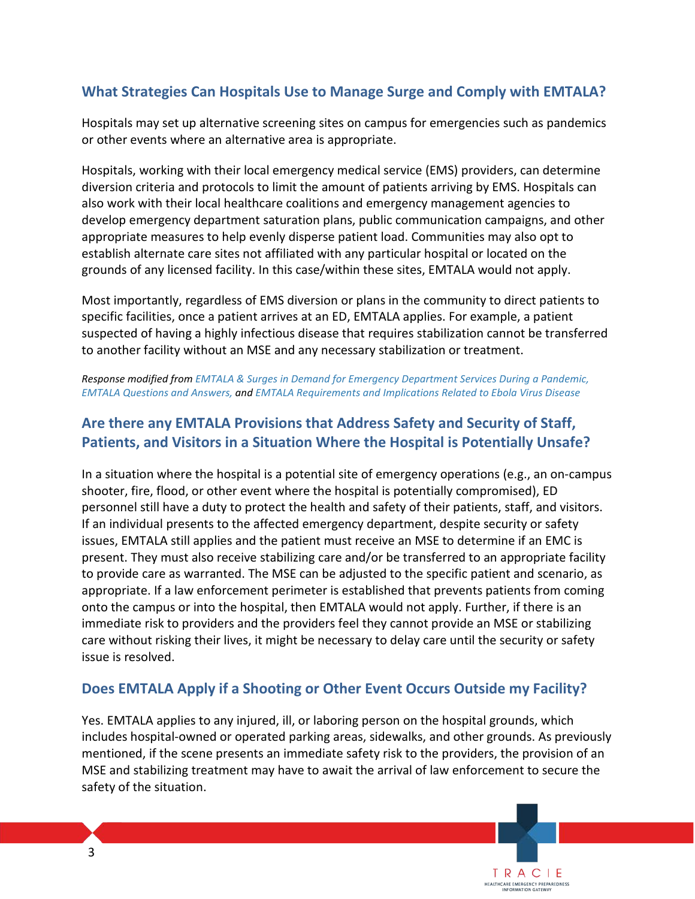## **What Strategies Can Hospitals Use to Manage Surge and Comply with EMTALA?**

Hospitals may set up alternative screening sites on campus for emergencies such as pandemics or other events where an alternative area is appropriate.

 diversion criteria and protocols to limit the amount of patients arriving by EMS. Hospitals can also work with their local healthcare coalitions and emergency management agencies to establish alternate care sites not affiliated with any particular hospital or located on the Hospitals, working with their local emergency medical service (EMS) providers, can determine develop emergency department saturation plans, public communication campaigns, and other appropriate measures to help evenly disperse patient load. Communities may also opt to grounds of any licensed facility. In this case/within these sites, EMTALA would not apply.

 Most importantly, regardless of EMS diversion or plans in the community to direct patients to to another facility without an MSE and any necessary stabilization or treatment. specific facilities, once a patient arrives at an ED, EMTALA applies. For example, a patient suspected of having a highly infectious disease that requires stabilization cannot be transferred

 *[EMTALA Questions and Answers,](http://www.aha.org/advocacy-issues/legal/emtala-q-and-a.shtml) and [EMTALA Requirements and Implications Related to Ebola Virus Disease](https://www.cms.gov/Medicare/Provider-Enrollment-and-Certification/SurveyCertificationGenInfo/Downloads/Survey-and-Cert-Letter-15-10.pdf)  Response modified from [EMTALA & Surges in Demand for Emergency Department Services During a Pandemic,](https://www.cms.gov/Medicare/Provider-Enrollment-and-Certification/SurveyCertificationGenInfo/downloads/SCLetter09_52.pdf)* 

## **Are there any EMTALA Provisions that Address Safety and Security of Staff, Patients, and Visitors in a Situation Where the Hospital is Potentially Unsafe?**

 In a situation where the hospital is a potential site of emergency operations (e.g., an on-campus shooter, fire, flood, or other event where the hospital is potentially compromised), ED personnel still have a duty to protect the health and safety of their patients, staff, and visitors. present. They must also receive stabilizing care and/or be transferred to an appropriate facility onto the campus or into the hospital, then EMTALA would not apply. Further, if there is an immediate risk to providers and the providers feel they cannot provide an MSE or stabilizing care without risking their lives, it might be necessary to delay care until the security or safety If an individual presents to the affected emergency department, despite security or safety issues, EMTALA still applies and the patient must receive an MSE to determine if an EMC is to provide care as warranted. The MSE can be adjusted to the specific patient and scenario, as appropriate. If a law enforcement perimeter is established that prevents patients from coming issue is resolved.

#### **Does EMTALA Apply if a Shooting or Other Event Occurs Outside my Facility?**

 mentioned, if the scene presents an immediate safety risk to the providers, the provision of an MSE and stabilizing treatment may have to await the arrival of law enforcement to secure the Yes. EMTALA applies to any injured, ill, or laboring person on the hospital grounds, which includes hospital-owned or operated parking areas, sidewalks, and other grounds. As previously safety of the situation.

> TRACIE HEALTHCARE EMERGENCY PREPAREDNESS